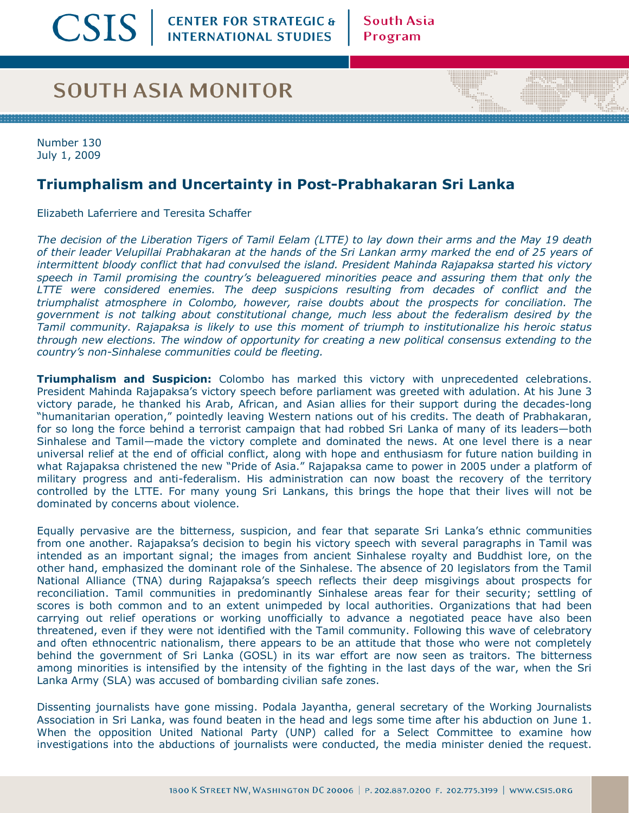## **SOUTH ASIA MONITOR**

Number 130 July 1, 2009

## **Triumphalism and Uncertainty in Post-Prabhakaran Sri Lanka**

Elizabeth Laferriere and Teresita Schaffer

*The decision of the Liberation Tigers of Tamil Eelam (LTTE) to lay down their arms and the May 19 death of their leader Velupillai Prabhakaran at the hands of the Sri Lankan army marked the end of 25 years of intermittent bloody conflict that had convulsed the island. President Mahinda Rajapaksa started his victory speech in Tamil promising the countryís beleaguered minorities peace and assuring them that only the LTTE were considered enemies. The deep suspicions resulting from decades of conflict and the triumphalist atmosphere in Colombo, however, raise doubts about the prospects for conciliation. The government is not talking about constitutional change, much less about the federalism desired by the Tamil community. Rajapaksa is likely to use this moment of triumph to institutionalize his heroic status through new elections. The window of opportunity for creating a new political consensus extending to the countryís non-Sinhalese communities could be fleeting.*

**Triumphalism and Suspicion:** Colombo has marked this victory with unprecedented celebrations. President Mahinda Rajapaksaís victory speech before parliament was greeted with adulation. At his June 3 victory parade, he thanked his Arab, African, and Asian allies for their support during the decades-long "humanitarian operation," pointedly leaving Western nations out of his credits. The death of Prabhakaran, for so long the force behind a terrorist campaign that had robbed Sri Lanka of many of its leaders-both Sinhalese and Tamil–made the victory complete and dominated the news. At one level there is a near universal relief at the end of official conflict, along with hope and enthusiasm for future nation building in what Rajapaksa christened the new "Pride of Asia." Rajapaksa came to power in 2005 under a platform of military progress and anti-federalism. His administration can now boast the recovery of the territory controlled by the LTTE. For many young Sri Lankans, this brings the hope that their lives will not be dominated by concerns about violence.

Equally pervasive are the bitterness, suspicion, and fear that separate Sri Lankaís ethnic communities from one another. Rajapaksaís decision to begin his victory speech with several paragraphs in Tamil was intended as an important signal; the images from ancient Sinhalese royalty and Buddhist lore, on the other hand, emphasized the dominant role of the Sinhalese. The absence of 20 legislators from the Tamil National Alliance (TNA) during Rajapaksa's speech reflects their deep misgivings about prospects for reconciliation. Tamil communities in predominantly Sinhalese areas fear for their security; settling of scores is both common and to an extent unimpeded by local authorities. Organizations that had been carrying out relief operations or working unofficially to advance a negotiated peace have also been threatened, even if they were not identified with the Tamil community. Following this wave of celebratory and often ethnocentric nationalism, there appears to be an attitude that those who were not completely behind the government of Sri Lanka (GOSL) in its war effort are now seen as traitors. The bitterness among minorities is intensified by the intensity of the fighting in the last days of the war, when the Sri Lanka Army (SLA) was accused of bombarding civilian safe zones.

Dissenting journalists have gone missing. Podala Jayantha, general secretary of the Working Journalists Association in Sri Lanka, was found beaten in the head and legs some time after his abduction on June 1. When the opposition United National Party (UNP) called for a Select Committee to examine how investigations into the abductions of journalists were conducted, the media minister denied the request.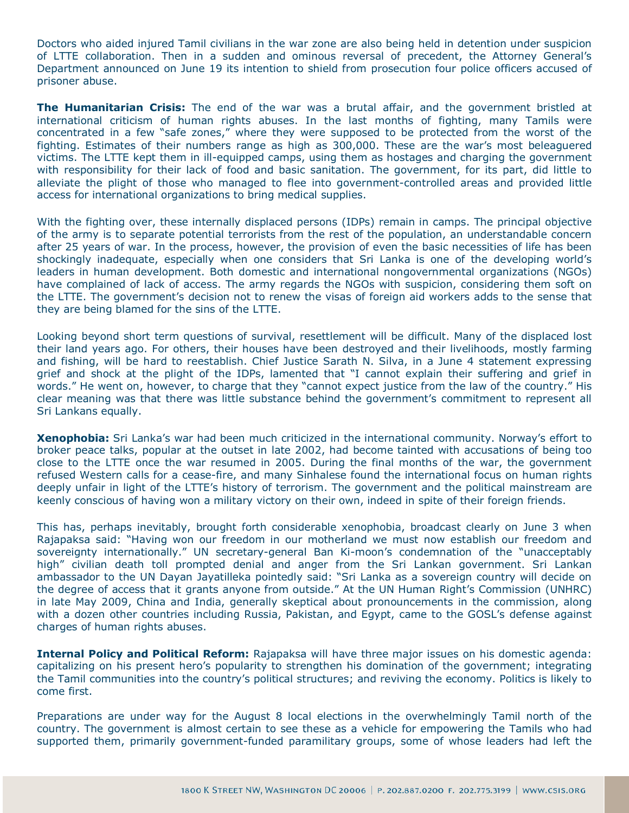Doctors who aided injured Tamil civilians in the war zone are also being held in detention under suspicion of LTTE collaboration. Then in a sudden and ominous reversal of precedent, the Attorney Generalís Department announced on June 19 its intention to shield from prosecution four police officers accused of prisoner abuse.

**The Humanitarian Crisis:** The end of the war was a brutal affair, and the government bristled at international criticism of human rights abuses. In the last months of fighting, many Tamils were concentrated in a few "safe zones," where they were supposed to be protected from the worst of the fighting. Estimates of their numbers range as high as 300,000. These are the war's most beleaguered victims. The LTTE kept them in ill-equipped camps, using them as hostages and charging the government with responsibility for their lack of food and basic sanitation. The government, for its part, did little to alleviate the plight of those who managed to flee into government-controlled areas and provided little access for international organizations to bring medical supplies.

With the fighting over, these internally displaced persons (IDPs) remain in camps. The principal objective of the army is to separate potential terrorists from the rest of the population, an understandable concern after 25 years of war. In the process, however, the provision of even the basic necessities of life has been shockingly inadequate, especially when one considers that Sri Lanka is one of the developing world's leaders in human development. Both domestic and international nongovernmental organizations (NGOs) have complained of lack of access. The army regards the NGOs with suspicion, considering them soft on the LTTE. The governmentís decision not to renew the visas of foreign aid workers adds to the sense that they are being blamed for the sins of the LTTE.

Looking beyond short term questions of survival, resettlement will be difficult. Many of the displaced lost their land years ago. For others, their houses have been destroyed and their livelihoods, mostly farming and fishing, will be hard to reestablish. Chief Justice Sarath N. Silva, in a June 4 statement expressing grief and shock at the plight of the IDPs, lamented that "I cannot explain their suffering and grief in words." He went on, however, to charge that they "cannot expect justice from the law of the country." His clear meaning was that there was little substance behind the government's commitment to represent all Sri Lankans equally.

**Xenophobia:** Sri Lanka's war had been much criticized in the international community. Norway's effort to broker peace talks, popular at the outset in late 2002, had become tainted with accusations of being too close to the LTTE once the war resumed in 2005. During the final months of the war, the government refused Western calls for a cease-fire, and many Sinhalese found the international focus on human rights deeply unfair in light of the LTTE's history of terrorism. The government and the political mainstream are keenly conscious of having won a military victory on their own, indeed in spite of their foreign friends.

This has, perhaps inevitably, brought forth considerable xenophobia, broadcast clearly on June 3 when Rajapaksa said: "Having won our freedom in our motherland we must now establish our freedom and sovereignty internationally." UN secretary-general Ban Ki-moon's condemnation of the "unacceptably high" civilian death toll prompted denial and anger from the Sri Lankan government. Sri Lankan ambassador to the UN Dayan Jayatilleka pointedly said: "Sri Lanka as a sovereign country will decide on the degree of access that it grants anyone from outside." At the UN Human Right's Commission (UNHRC) in late May 2009, China and India, generally skeptical about pronouncements in the commission, along with a dozen other countries including Russia, Pakistan, and Egypt, came to the GOSL's defense against charges of human rights abuses.

**Internal Policy and Political Reform:** Rajapaksa will have three major issues on his domestic agenda: capitalizing on his present heroís popularity to strengthen his domination of the government; integrating the Tamil communities into the countryís political structures; and reviving the economy. Politics is likely to come first.

Preparations are under way for the August 8 local elections in the overwhelmingly Tamil north of the country. The government is almost certain to see these as a vehicle for empowering the Tamils who had supported them, primarily government-funded paramilitary groups, some of whose leaders had left the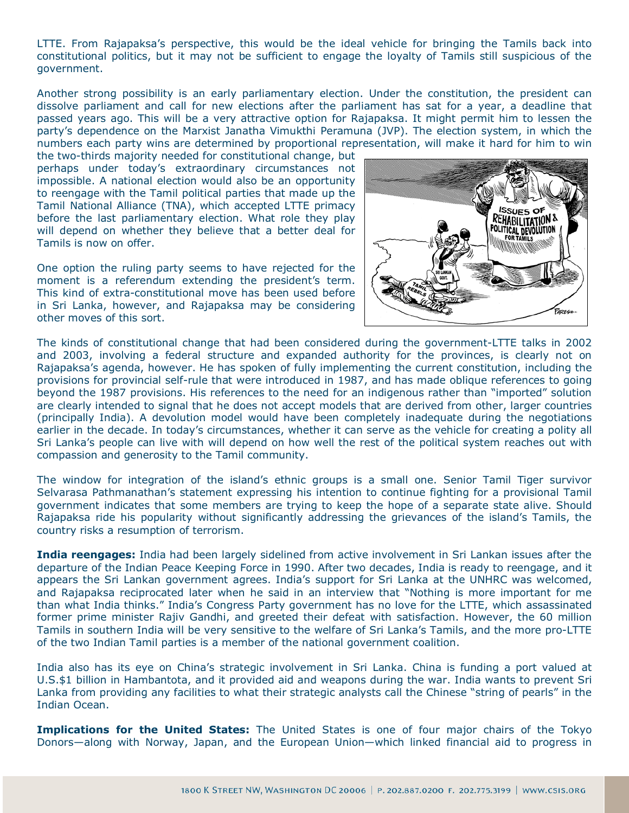LTTE. From Rajapaksaís perspective, this would be the ideal vehicle for bringing the Tamils back into constitutional politics, but it may not be sufficient to engage the loyalty of Tamils still suspicious of the government.

Another strong possibility is an early parliamentary election. Under the constitution, the president can dissolve parliament and call for new elections after the parliament has sat for a year, a deadline that passed years ago. This will be a very attractive option for Rajapaksa. It might permit him to lessen the partyís dependence on the Marxist Janatha Vimukthi Peramuna (JVP). The election system, in which the numbers each party wins are determined by proportional representation, will make it hard for him to win

the two-thirds majority needed for constitutional change, but perhaps under todayís extraordinary circumstances not impossible. A national election would also be an opportunity to reengage with the Tamil political parties that made up the Tamil National Alliance (TNA), which accepted LTTE primacy before the last parliamentary election. What role they play will depend on whether they believe that a better deal for Tamils is now on offer.

One option the ruling party seems to have rejected for the moment is a referendum extending the president's term. This kind of extra-constitutional move has been used before in Sri Lanka, however, and Rajapaksa may be considering other moves of this sort.



The kinds of constitutional change that had been considered during the government-LTTE talks in 2002 and 2003, involving a federal structure and expanded authority for the provinces, is clearly not on Rajapaksaís agenda, however. He has spoken of fully implementing the current constitution, including the provisions for provincial self-rule that were introduced in 1987, and has made oblique references to going beyond the 1987 provisions. His references to the need for an indigenous rather than "imported" solution are clearly intended to signal that he does not accept models that are derived from other, larger countries (principally India). A devolution model would have been completely inadequate during the negotiations earlier in the decade. In todayís circumstances, whether it can serve as the vehicle for creating a polity all Sri Lankaís people can live with will depend on how well the rest of the political system reaches out with compassion and generosity to the Tamil community.

The window for integration of the island's ethnic groups is a small one. Senior Tamil Tiger survivor Selvarasa Pathmanathanís statement expressing his intention to continue fighting for a provisional Tamil government indicates that some members are trying to keep the hope of a separate state alive. Should Rajapaksa ride his popularity without significantly addressing the grievances of the island's Tamils, the country risks a resumption of terrorism.

**India reengages:** India had been largely sidelined from active involvement in Sri Lankan issues after the departure of the Indian Peace Keeping Force in 1990. After two decades, India is ready to reengage, and it appears the Sri Lankan government agrees. Indiaís support for Sri Lanka at the UNHRC was welcomed, and Rajapaksa reciprocated later when he said in an interview that "Nothing is more important for me than what India thinks." India's Congress Party government has no love for the LTTE, which assassinated former prime minister Rajiv Gandhi, and greeted their defeat with satisfaction. However, the 60 million Tamils in southern India will be very sensitive to the welfare of Sri Lankaís Tamils, and the more pro-LTTE of the two Indian Tamil parties is a member of the national government coalition.

India also has its eye on Chinaís strategic involvement in Sri Lanka. China is funding a port valued at U.S.\$1 billion in Hambantota, and it provided aid and weapons during the war. India wants to prevent Sri Lanka from providing any facilities to what their strategic analysts call the Chinese "string of pearls" in the Indian Ocean.

**Implications for the United States:** The United States is one of four major chairs of the Tokyo Donors—along with Norway, Japan, and the European Union—which linked financial aid to progress in